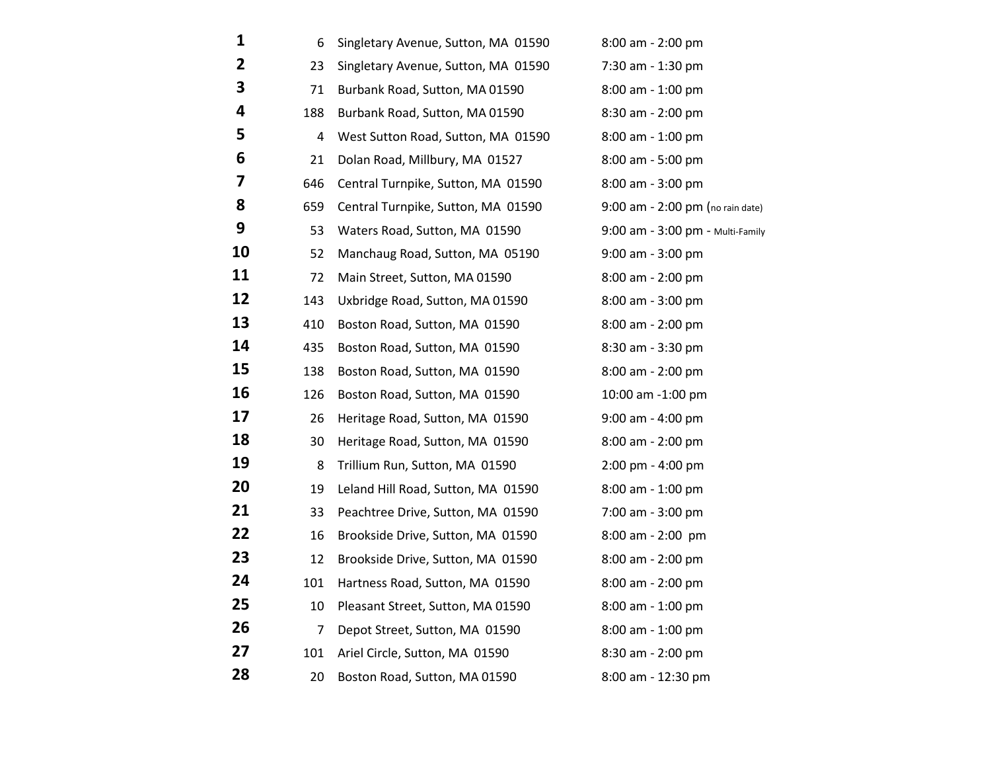| 1                       | 6              | Singletary Avenue, Sutton, MA 01590 | 8:00 am - 2:00 pm                   |
|-------------------------|----------------|-------------------------------------|-------------------------------------|
| $\overline{2}$          | 23             | Singletary Avenue, Sutton, MA 01590 | 7:30 am - 1:30 pm                   |
| 3                       | 71             | Burbank Road, Sutton, MA 01590      | $8:00$ am - 1:00 pm                 |
| 4                       | 188            | Burbank Road, Sutton, MA 01590      | $8:30$ am - 2:00 pm                 |
| 5                       | 4              | West Sutton Road, Sutton, MA 01590  | 8:00 am - 1:00 pm                   |
| 6                       | 21             | Dolan Road, Millbury, MA 01527      | 8:00 am - 5:00 pm                   |
| $\overline{\mathbf{z}}$ | 646            | Central Turnpike, Sutton, MA 01590  | $8:00$ am - $3:00$ pm               |
| 8                       | 659            | Central Turnpike, Sutton, MA 01590  | 9:00 am - 2:00 pm (no rain date)    |
| 9                       | 53             | Waters Road, Sutton, MA 01590       | 9:00 am - 3:00 pm - Multi-Family    |
| 10                      | 52             | Manchaug Road, Sutton, MA 05190     | $9:00$ am - 3:00 pm                 |
| 11                      | 72             | Main Street, Sutton, MA 01590       | $8:00$ am - 2:00 pm                 |
| 12                      | 143            | Uxbridge Road, Sutton, MA 01590     | $8:00$ am - $3:00$ pm               |
| 13                      | 410            | Boston Road, Sutton, MA 01590       | 8:00 am - 2:00 pm                   |
| 14                      | 435            | Boston Road, Sutton, MA 01590       | 8:30 am - 3:30 pm                   |
| 15                      | 138            | Boston Road, Sutton, MA 01590       | $8:00$ am - 2:00 pm                 |
| 16                      | 126            | Boston Road, Sutton, MA 01590       | 10:00 am -1:00 pm                   |
| 17                      | 26             | Heritage Road, Sutton, MA 01590     | $9:00$ am - 4:00 pm                 |
| 18                      | 30             | Heritage Road, Sutton, MA 01590     | $8:00$ am - 2:00 pm                 |
| 19                      | 8              | Trillium Run, Sutton, MA 01590      | $2:00 \text{ pm} - 4:00 \text{ pm}$ |
| 20                      | 19             | Leland Hill Road, Sutton, MA 01590  | $8:00$ am - 1:00 pm                 |
| 21                      | 33             | Peachtree Drive, Sutton, MA 01590   | 7:00 am - 3:00 pm                   |
| 22                      | 16             | Brookside Drive, Sutton, MA 01590   | 8:00 am - 2:00 pm                   |
| 23                      | 12             | Brookside Drive, Sutton, MA 01590   | 8:00 am - 2:00 pm                   |
| 24                      | 101            | Hartness Road, Sutton, MA 01590     | $8:00$ am - 2:00 pm                 |
| 25                      | 10             | Pleasant Street, Sutton, MA 01590   | $8:00$ am - 1:00 pm                 |
| 26                      | $\overline{7}$ | Depot Street, Sutton, MA 01590      | $8:00$ am - 1:00 pm                 |
| 27                      | 101            | Ariel Circle, Sutton, MA 01590      | 8:30 am - 2:00 pm                   |
| 28                      | 20             | Boston Road, Sutton, MA 01590       | 8:00 am - 12:30 pm                  |